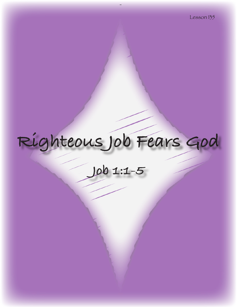# **Righteous Job Fears God**

**Job 1:1-5**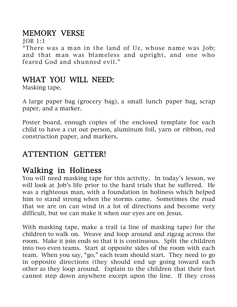## MEMORY VERSE

JOB 1:1

"There was a man in the land of Uz, whose name was Job; and that man was blameless and upright, and one who feared God and shunned evil."

## WHAT YOU WILL NEED:

Masking tape.

A large paper bag (grocery bag), a small lunch paper bag, scrap paper, and a marker.

Poster board, enough copies of the enclosed template for each child to have a cut out person, aluminum foil, yarn or ribbon, red construction paper, and markers.

## ATTENTION GETTER!

## Walking in Holiness

You will need masking tape for this activity. In today's lesson, we will look at Job's life prior to the hard trials that he suffered. He was a righteous man, with a foundation in holiness which helped him to stand strong when the storms came. Sometimes the road that we are on can wind in a lot of directions and become very difficult, but we can make it when our eyes are on Jesus.

With masking tape, make a trail (a line of masking tape) for the children to walk on. Weave and loop around and zigzag across the room. Make it join ends so that it is continuous. Split the children into two even teams. Start at opposite sides of the room with each team. When you say, "go," each team should start. They need to go in opposite directions (they should end up going toward each other as they loop around. Explain to the children that their feet cannot step down anywhere except upon the line. If they cross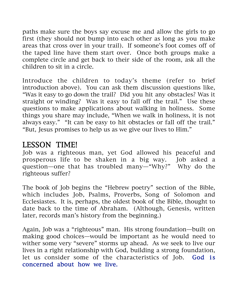paths make sure the boys say excuse me and allow the girls to go first (they should not bump into each other as long as you make areas that cross over in your trail). If someone's foot comes off of the taped line have them start over. Once both groups make a complete circle and get back to their side of the room, ask all the children to sit in a circle.

Introduce the children to today's theme (refer to brief introduction above). You can ask them discussion questions like, "Was it easy to go down the trail? Did you hit any obstacles? Was it straight or winding? Was it easy to fall off the trail." Use these questions to make applications about walking in holiness. Some things you share may include, "When we walk in holiness, it is not always easy." "It can be easy to hit obstacles or fall off the trail." "But, Jesus promises to help us as we give our lives to Him."

## LESSON TIME!

Job was a righteous man, yet God allowed his peaceful and prosperous life to be shaken in a big way. Job asked a question—one that has troubled many—"Why?" Why do the righteous suffer?

The book of Job begins the "Hebrew poetry" section of the Bible, which includes Job, Psalms, Proverbs, Song of Solomon and Ecclesiastes. It is, perhaps, the oldest book of the Bible, thought to date back to the time of Abraham. (Although, Genesis, written later, records man's history from the beginning.)

Again, Job was a "righteous" man. His strong foundation—built on making good choices—would be important as he would need to wither some very "severe" storms up ahead. As we seek to live our lives in a right relationship with God, building a strong foundation, let us consider some of the characteristics of Job. God is concerned about how we live.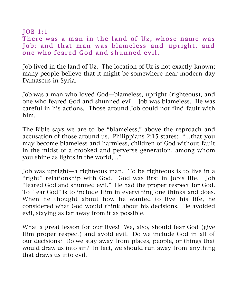#### J OB 1:1 There was a man in the land of Uz, whose name was Job; and that man was blameless and upright, and one who feared God and shunned evil.

Job lived in the land of Uz. The location of Uz is not exactly known; many people believe that it might be somewhere near modern day Damascus in Syria.

Job was a man who loved God—blameless, upright (righteous), and one who feared God and shunned evil. Job was blameless. He was careful in his actions. Those around Job could not find fault with him.

The Bible says we are to be "blameless," above the reproach and accusation of those around us. Philippians 2:15 states: "…that you may become blameless and harmless, children of God without fault in the midst of a crooked and perverse generation, among whom you shine as lights in the world,…"

Job was upright—a righteous man. To be righteous is to live in a "right" relationship with God. God was first in Job's life. Job "feared God and shunned evil." He had the proper respect for God. To "fear God" is to include Him in everything one thinks and does. When he thought about how he wanted to live his life, he considered what God would think about his decisions. He avoided evil, staying as far away from it as possible.

What a great lesson for our lives! We, also, should fear God (give Him proper respect) and avoid evil. Do we include God in all of our decisions? Do we stay away from places, people, or things that would draw us into sin? In fact, we should run away from anything that draws us into evil.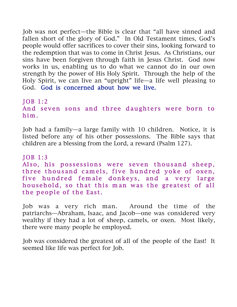Job was not perfect—the Bible is clear that "all have sinned and fallen short of the glory of God." In Old Testament times, God's people would offer sacrifices to cover their sins, looking forward to the redemption that was to come in Christ Jesus. As Christians, our sins have been forgiven through faith in Jesus Christ. God now works in us, enabling us to do what we cannot do in our own strength by the power of His Holy Spirit. Through the help of the Holy Spirit, we can live an "upright" life—a life well pleasing to God. God is concerned about how we live.

#### $JOB 1:2$ And seven sons and three daughters were born to him .

Job had a family—a large family with 10 children. Notice, it is listed before any of his other possessions. The Bible says that children are a blessing from the Lord, a reward (Psalm 127).

#### $JOB 1:3$

Also, his possessions were seven thous and sheep, three thousand camels, five hundred yoke of oxen, five hundred female donkeys, and a very large hous ehold, so that this man was the greatest of all the people of the East.

Job was a very rich man. Around the time of the patriarchs—Abraham, Isaac, and Jacob—one was considered very wealthy if they had a lot of sheep, camels, or oxen. Most likely, there were many people he employed.

Job was considered the greatest of all of the people of the East! It seemed like life was perfect for Job.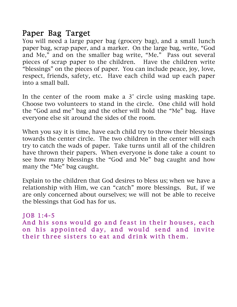## Paper Bag Target

You will need a large paper bag (grocery bag), and a small lunch paper bag, scrap paper, and a marker. On the large bag, write, "God and Me," and on the smaller bag write, "Me." Pass out several pieces of scrap paper to the children. Have the children write "blessings" on the pieces of paper. You can include peace, joy, love, respect, friends, safety, etc. Have each child wad up each paper into a small ball.

In the center of the room make a 3' circle using masking tape. Choose two volunteers to stand in the circle. One child will hold the "God and me" bag and the other will hold the "Me" bag. Have everyone else sit around the sides of the room.

When you say it is time, have each child try to throw their blessings towards the center circle. The two children in the center will each try to catch the wads of paper. Take turns until all of the children have thrown their papers. When everyone is done take a count to see how many blessings the "God and Me" bag caught and how many the "Me" bag caught.

Explain to the children that God desires to bless us; when we have a relationship with Him, we can "catch" more blessings. But, if we are only concerned about ourselves; we will not be able to receive the blessings that God has for us.

 $JOB 1:4-5$ And his sons would go and feast in their houses, each on his appointed day, and would send and invite their three sisters to eat and drink with them.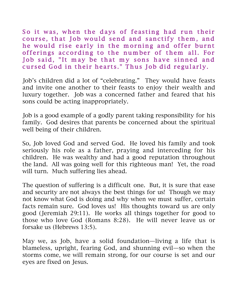So it was, when the days of feasting had run their course, that Job would send and sanctify them, and he would rise early in the morning and offer burnt offerings according to the number of them all. For Job said, "It may be that my sons have sinned and cursed God in their hearts." Thus Job did regularly.

Job's children did a lot of "celebrating." They would have feasts and invite one another to their feasts to enjoy their wealth and luxury together. Job was a concerned father and feared that his sons could be acting inappropriately.

Job is a good example of a godly parent taking responsibility for his family. God desires that parents be concerned about the spiritual well being of their children.

So, Job loved God and served God. He loved his family and took seriously his role as a father, praying and interceding for his children. He was wealthy and had a good reputation throughout the land. All was going well for this righteous man! Yet, the road will turn. Much suffering lies ahead.

The question of suffering is a difficult one. But, it is sure that ease and security are not always the best things for us! Though we may not know what God is doing and why when we must suffer, certain facts remain sure. God loves us! His thoughts toward us are only good (Jeremiah 29:11). He works all things together for good to those who love God (Romans 8:28). He will never leave us or forsake us (Hebrews 13:5).

May we, as Job, have a solid foundation—living a life that is blameless, upright, fearing God, and shunning evil—so when the storms come, we will remain strong, for our course is set and our eyes are fixed on Jesus.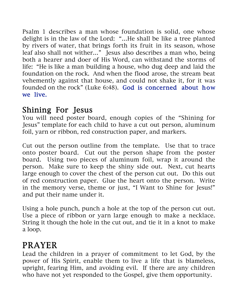Psalm 1 describes a man whose foundation is solid, one whose delight is in the law of the Lord: "…He shall be like a tree planted by rivers of water, that brings forth its fruit in its season, whose leaf also shall not wither…" Jesus also describes a man who, being both a hearer and doer of His Word, can withstand the storms of life: "He is like a man building a house, who dug deep and laid the foundation on the rock. And when the flood arose, the stream beat vehemently against that house, and could not shake it, for it was founded on the rock" (Luke 6:48). God is concerned about how we live.

## Shining For Jesus

You will need poster board, enough copies of the "Shining for Jesus" template for each child to have a cut out person, aluminum foil, yarn or ribbon, red construction paper, and markers.

Cut out the person outline from the template. Use that to trace onto poster board. Cut out the person shape from the poster board. Using two pieces of aluminum foil, wrap it around the person. Make sure to keep the shiny side out. Next, cut hearts large enough to cover the chest of the person cut out. Do this out of red construction paper. Glue the heart onto the person. Write in the memory verse, theme or just, "I Want to Shine for Jesus!" and put their name under it.

Using a hole punch, punch a hole at the top of the person cut out. Use a piece of ribbon or yarn large enough to make a necklace. String it though the hole in the cut out, and tie it in a knot to make a loop.

## PRAYER

Lead the children in a prayer of commitment to let God, by the power of His Spirit, enable them to live a life that is blameless, upright, fearing Him, and avoiding evil. If there are any children who have not yet responded to the Gospel, give them opportunity.